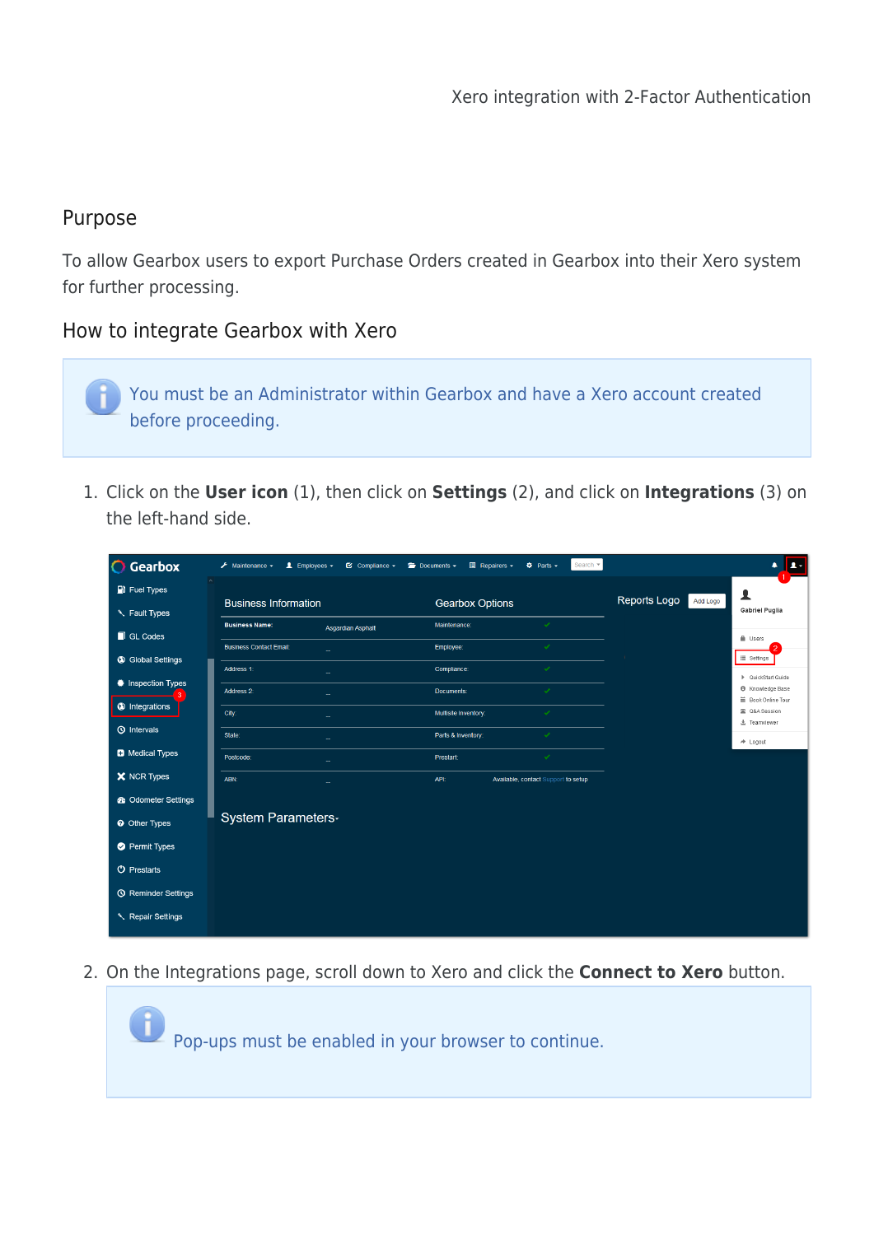## Purpose

To allow Gearbox users to export Purchase Orders created in Gearbox into their Xero system for further processing.

## How to integrate Gearbox with Xero

You must be an Administrator within Gearbox and have a Xero account created before proceeding.

1. Click on the **User icon** (1), then click on **Settings** (2), and click on **Integrations** (3) on the left-hand side.

| Gearbox<br>$\bullet$       | $\bigtriangledown$ Maintenance $\bigtriangledown$ | $\triangle$ Employees $\sim$<br>$\heartsuit$ Compliance $\sim$ | $\blacksquare$ Repairers $\blacktriangleright$<br>$\implies$ Documents $\blacktriangleright$ | Search $\blacktriangledown$<br>$\ddot{\Phi}$ Parts $\sim$ |              | $\mathbf{L}$                                  |
|----------------------------|---------------------------------------------------|----------------------------------------------------------------|----------------------------------------------------------------------------------------------|-----------------------------------------------------------|--------------|-----------------------------------------------|
| $\blacksquare$ Fuel Types  | $\sim$                                            |                                                                |                                                                                              |                                                           | Reports Logo | ▴                                             |
| <b>K</b> Fault Types       | <b>Business Information</b>                       |                                                                | <b>Gearbox Options</b>                                                                       |                                                           | Add Logo     | <b>Gabriel Puglia</b>                         |
| GL Codes                   | <b>Business Name:</b>                             | Asgardian Asphalt                                              | Maintenance:                                                                                 | $\mathcal{L}_{\mathcal{L}}$                               |              | <b>A</b> Users                                |
| <b>3</b> Global Settings   | <b>Business Contact Email:</b>                    |                                                                | Employee:                                                                                    | $\mathcal{L}$                                             |              | ill Settings                                  |
| # Inspection Types         | Address 1:                                        |                                                                | Compliance:                                                                                  |                                                           |              | ▶ QuickStart Guide<br><b>6</b> Knowledge Base |
| <b>O</b> Integrations      | Address 2:<br>City:                               |                                                                | Documents:<br>Multisite Inventory:                                                           | $\checkmark$                                              |              | 篇 Book Online Tour<br>2 Q&A Session           |
| <b>①</b> Intervals         | State:                                            |                                                                | Parts & Inventory:                                                                           | $\mathcal{L}$                                             |              | 土 Teamviewer                                  |
| <b>D</b> Medical Types     | Postcode:                                         |                                                                | Prestart:                                                                                    | $\mathcal{L}_{\mathcal{L}}$                               |              | $\rightarrow$ Logout                          |
| X NCR Types                | ABN:                                              |                                                                | <b>API</b>                                                                                   | Available, contact Support to setup                       |              |                                               |
| <b>6</b> Odometer Settings |                                                   |                                                                |                                                                                              |                                                           |              |                                               |
| <b>@</b> Other Types       | <b>System Parameters-</b>                         |                                                                |                                                                                              |                                                           |              |                                               |
| Permit Types               |                                                   |                                                                |                                                                                              |                                                           |              |                                               |
| <b>U</b> Prestarts         |                                                   |                                                                |                                                                                              |                                                           |              |                                               |
| <b>6</b> Reminder Settings |                                                   |                                                                |                                                                                              |                                                           |              |                                               |
| Repair Settings            |                                                   |                                                                |                                                                                              |                                                           |              |                                               |

2. On the Integrations page, scroll down to Xero and click the **Connect to Xero** button.

Pop-ups must be enabled in your browser to continue.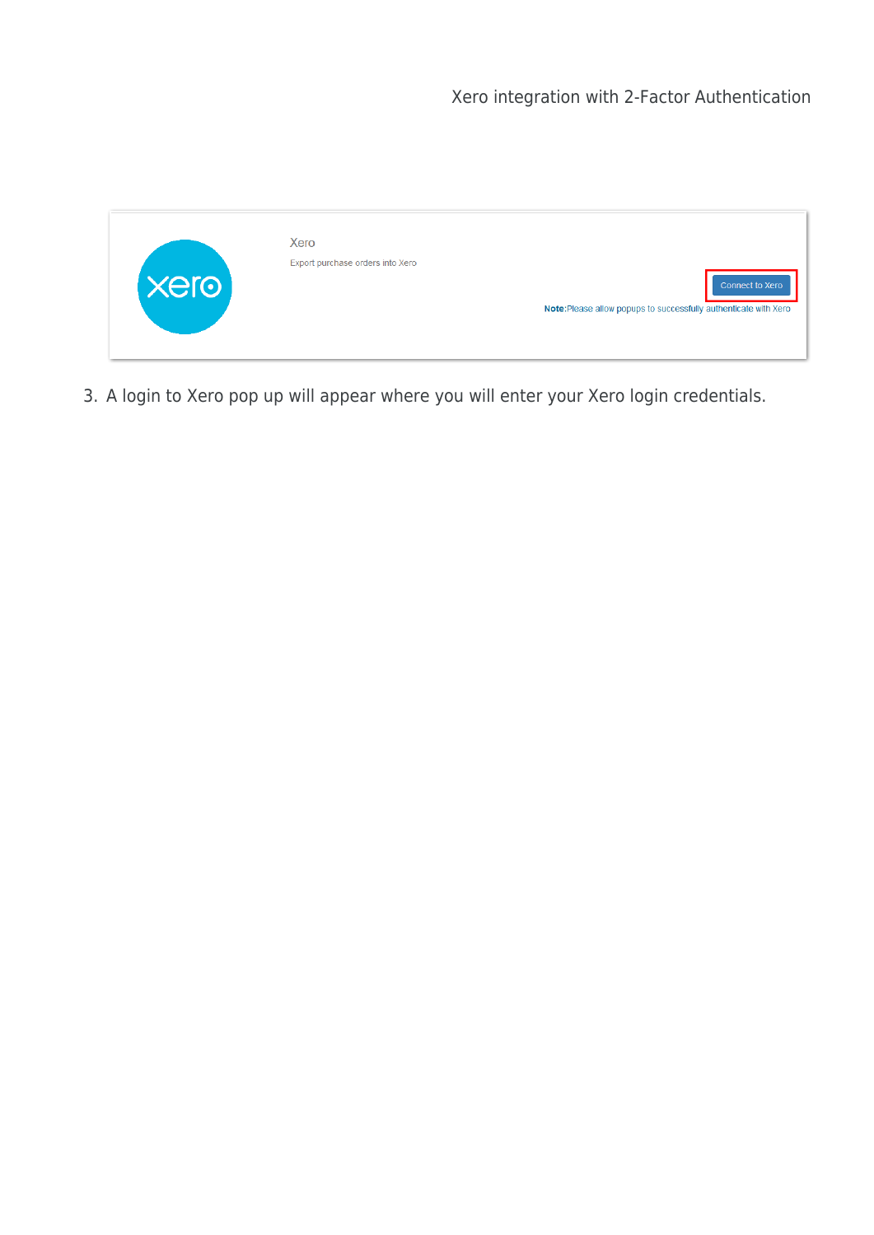

3. A login to Xero pop up will appear where you will enter your Xero login credentials.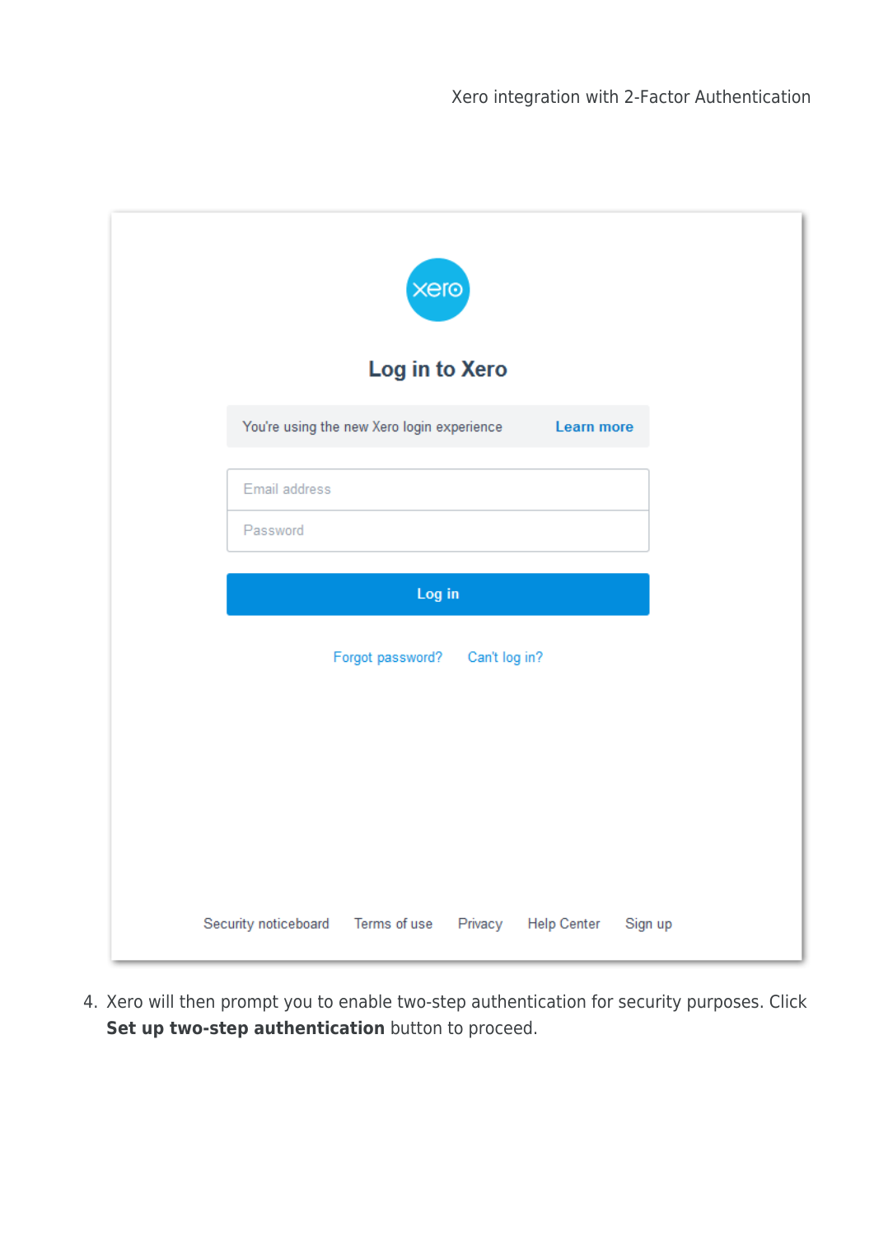| xero<br>Log in to Xero                     |                   |
|--------------------------------------------|-------------------|
| You're using the new Xero login experience | <b>Learn more</b> |
| Email address                              |                   |
| Password                                   |                   |
| Log in                                     |                   |
| Forgot password?<br>Can't log in?          |                   |
|                                            |                   |
|                                            |                   |
|                                            |                   |
|                                            |                   |

4. Xero will then prompt you to enable two-step authentication for security purposes. Click **Set up two-step authentication** button to proceed.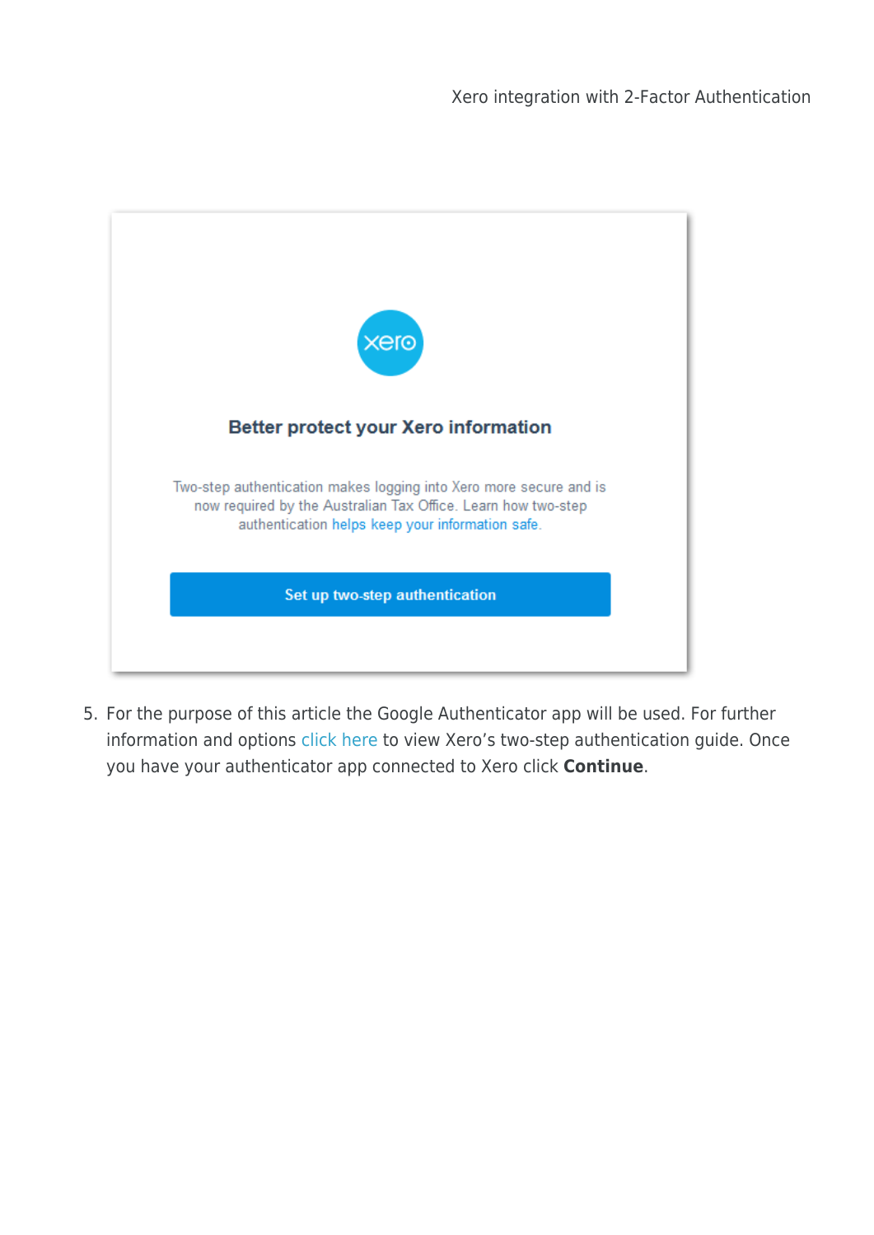| $x$ ero                                                                                                                                                                                 |  |
|-----------------------------------------------------------------------------------------------------------------------------------------------------------------------------------------|--|
| <b>Better protect your Xero information</b>                                                                                                                                             |  |
| Two-step authentication makes logging into Xero more secure and is<br>now required by the Australian Tax Office. Learn how two-step<br>authentication helps keep your information safe. |  |
| Set up two-step authentication                                                                                                                                                          |  |
|                                                                                                                                                                                         |  |

5. For the purpose of this article the Google Authenticator app will be used. For further information and options [click here](https://central.xero.com/s/article/Set-up-or-disable-two-step-authentication?userregion=true#Installanauthenticatorapp) to view Xero's two-step authentication guide. Once you have your authenticator app connected to Xero click **Continue**.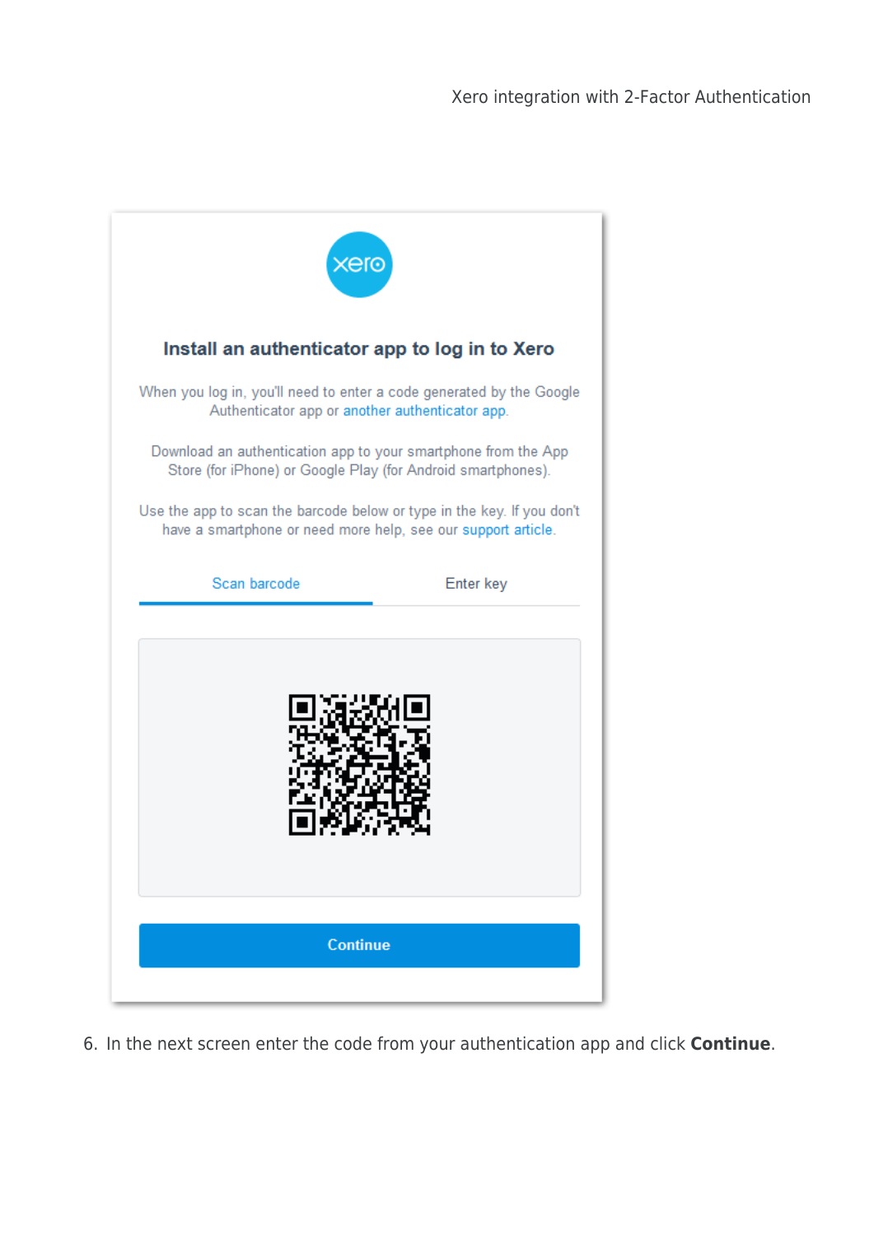

6. In the next screen enter the code from your authentication app and click **Continue**.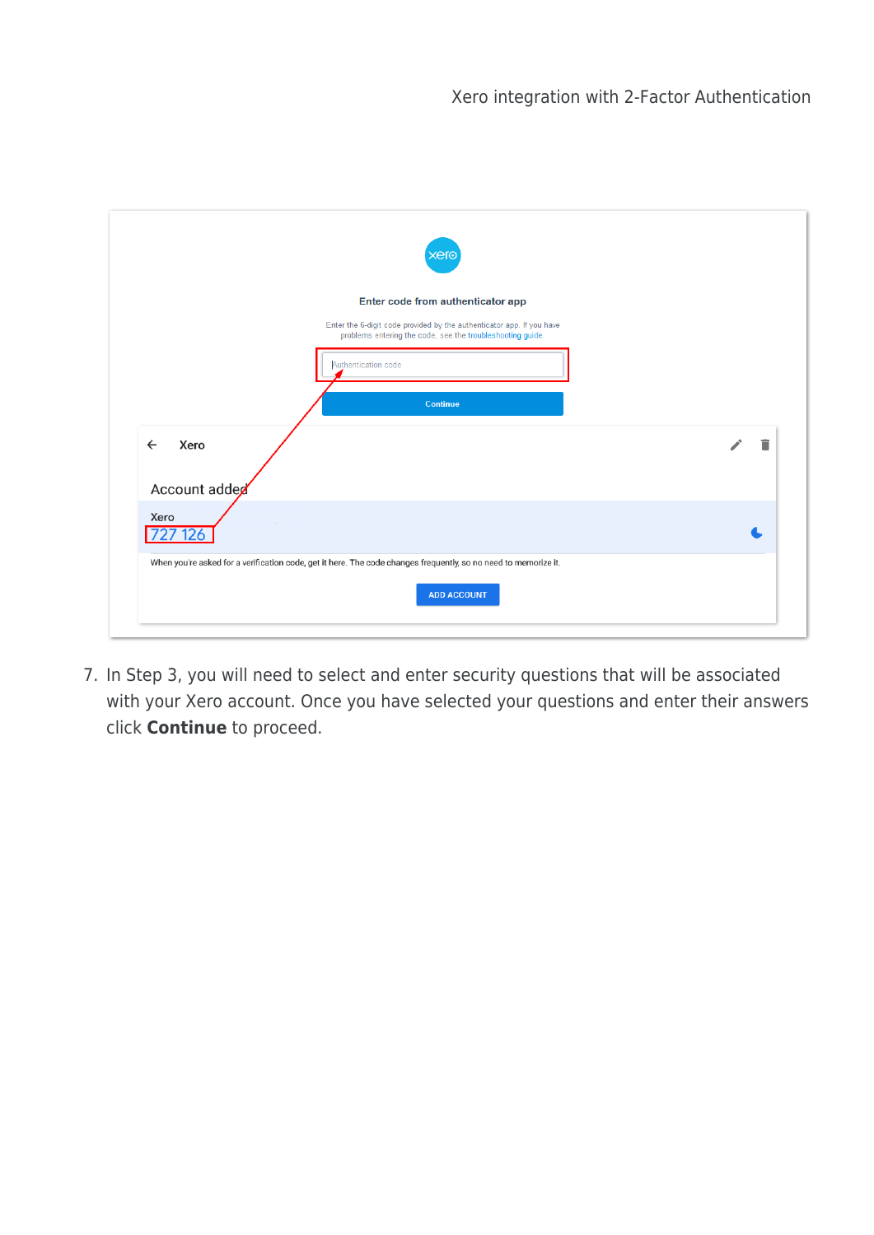|                                       | Enter code from authenticator app                                                                                                   |   |
|---------------------------------------|-------------------------------------------------------------------------------------------------------------------------------------|---|
|                                       | Enter the 6-digit code provided by the authenticator app. If you have<br>problems entering the code, see the troubleshooting guide. |   |
|                                       | Authentication code                                                                                                                 |   |
|                                       | Continue                                                                                                                            |   |
| Xero<br>$\leftarrow$<br>Account added |                                                                                                                                     | Ē |
| Xero<br>O                             |                                                                                                                                     |   |
|                                       |                                                                                                                                     |   |

7. In Step 3, you will need to select and enter security questions that will be associated with your Xero account. Once you have selected your questions and enter their answers click **Continue** to proceed.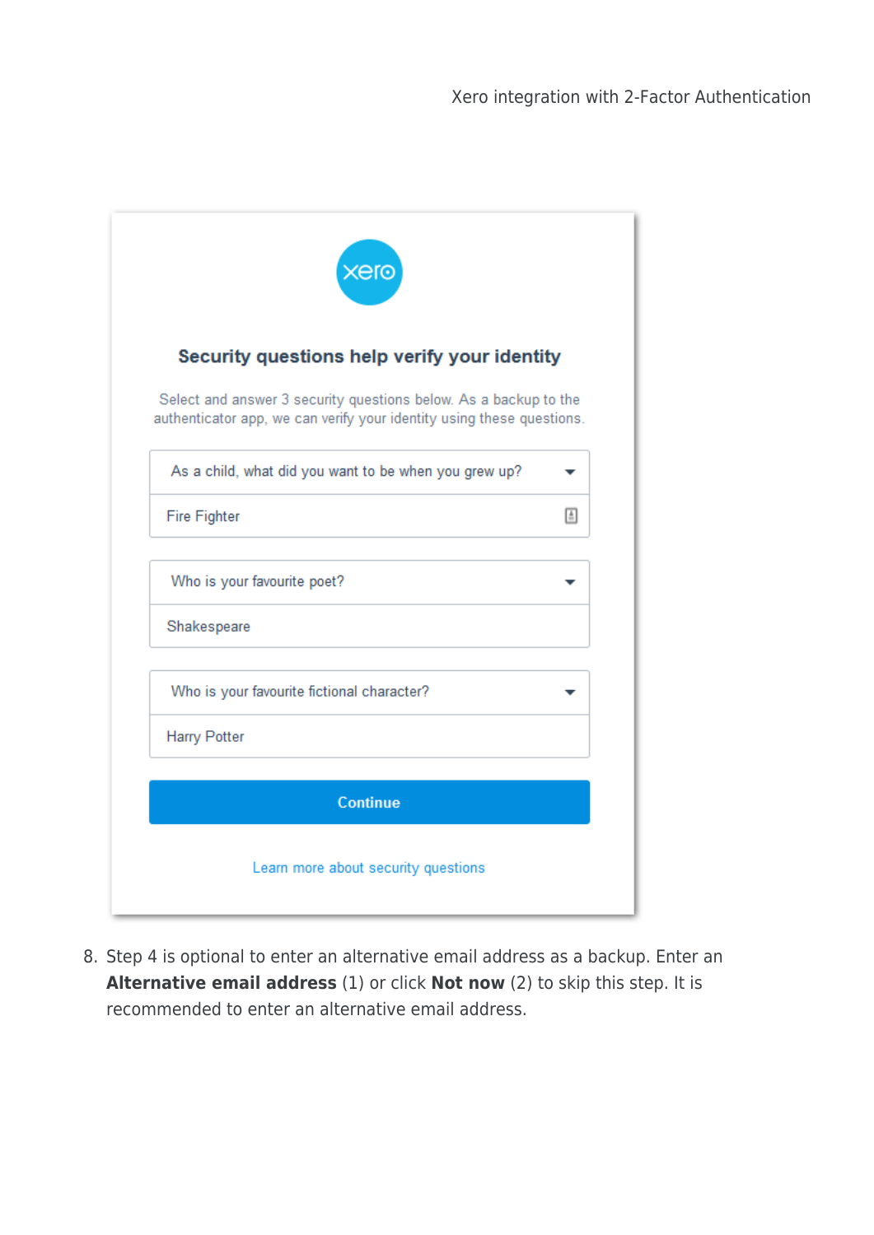| Security questions help verify your identity                                                                                              |          |
|-------------------------------------------------------------------------------------------------------------------------------------------|----------|
| Select and answer 3 security questions below. As a backup to the<br>authenticator app, we can verify your identity using these questions. |          |
| As a child, what did you want to be when you grew up?                                                                                     |          |
| <b>Fire Fighter</b>                                                                                                                       | $\equiv$ |
| Who is your favourite poet?                                                                                                               |          |
| Shakespeare                                                                                                                               |          |
| Who is your favourite fictional character?                                                                                                |          |
| <b>Harry Potter</b>                                                                                                                       |          |

8. Step 4 is optional to enter an alternative email address as a backup. Enter an **Alternative email address** (1) or click **Not now** (2) to skip this step. It is recommended to enter an alternative email address.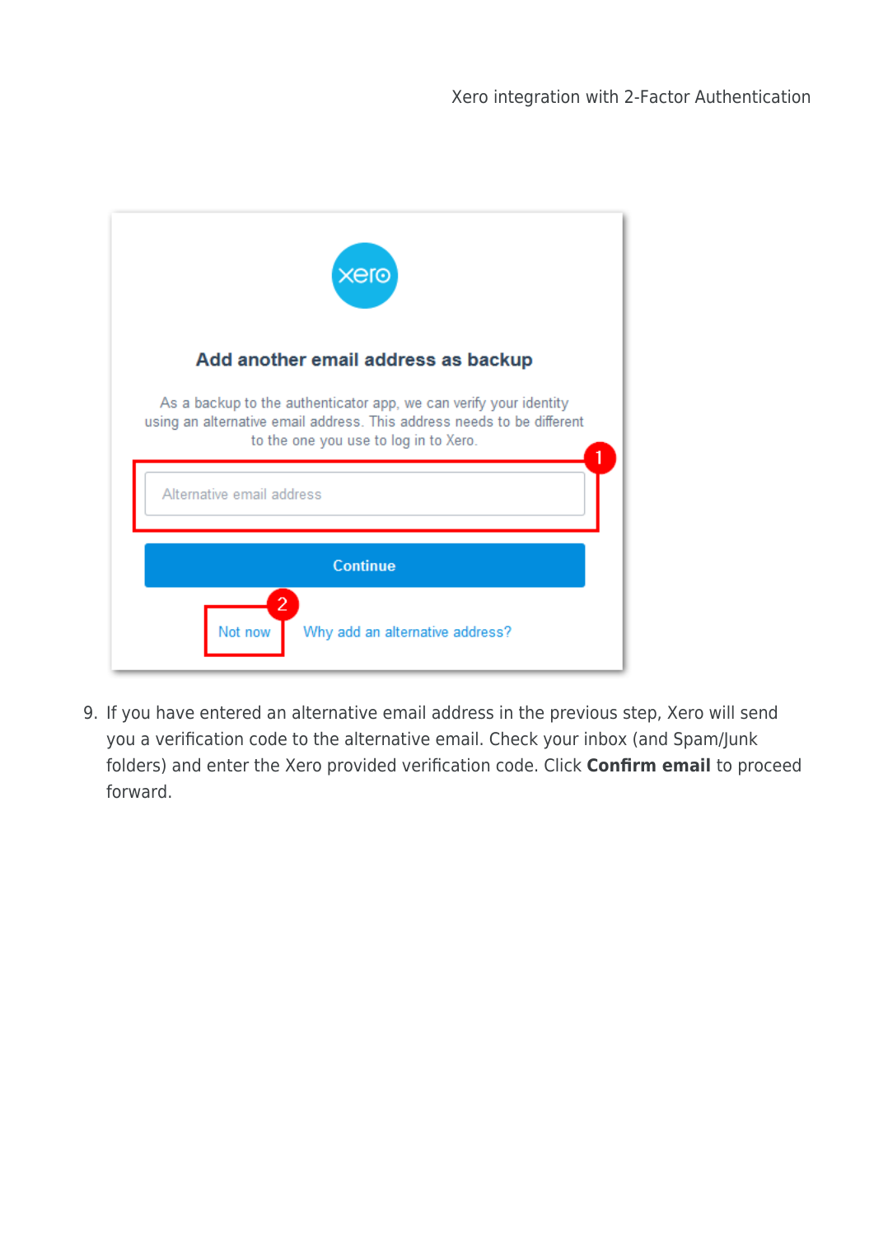| <b>xero</b>                                                                                                                                                                          |
|--------------------------------------------------------------------------------------------------------------------------------------------------------------------------------------|
| Add another email address as backup                                                                                                                                                  |
| As a backup to the authenticator app, we can verify your identity<br>using an alternative email address. This address needs to be different<br>to the one you use to log in to Xero. |
| Alternative email address                                                                                                                                                            |
| <b>Continue</b>                                                                                                                                                                      |
| 2<br>Not now<br>Why add an alternative address?                                                                                                                                      |

9. If you have entered an alternative email address in the previous step, Xero will send you a verification code to the alternative email. Check your inbox (and Spam/Junk folders) and enter the Xero provided verification code. Click **Confirm email** to proceed forward.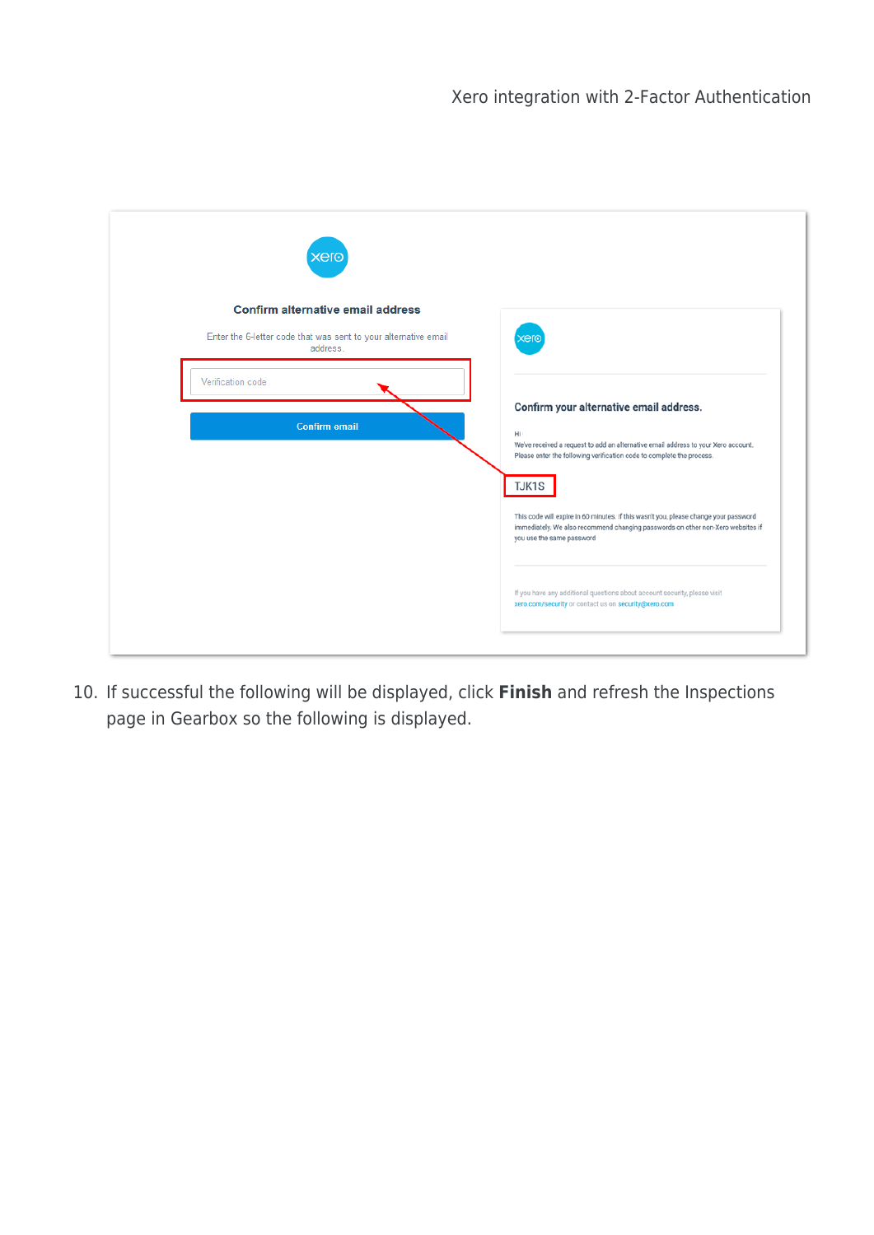| $\times$ er $\odot$                                                         |                                                                                                                                                                                                      |
|-----------------------------------------------------------------------------|------------------------------------------------------------------------------------------------------------------------------------------------------------------------------------------------------|
| <b>Confirm alternative email address</b>                                    |                                                                                                                                                                                                      |
| Enter the 6-letter code that was sent to your alternative email<br>address. | <b>xero</b>                                                                                                                                                                                          |
| Verification code                                                           |                                                                                                                                                                                                      |
|                                                                             | Confirm your alternative email address.                                                                                                                                                              |
| <b>Confirm email</b>                                                        | Hi<br>We've received a request to add an alternative email address to your Xero account.                                                                                                             |
|                                                                             | Please enter the following verification code to complete the process.                                                                                                                                |
|                                                                             | TJK1S                                                                                                                                                                                                |
|                                                                             | This code will expire in 60 minutes. If this wasn't you, please change your password<br>immediately. We also recommend changing passwords on other non-Xero websites if<br>you use the same password |
|                                                                             |                                                                                                                                                                                                      |
|                                                                             | If you have any additional questions about account security, please visit<br>xero.com/security or contact us on security@xero.com                                                                    |

10. If successful the following will be displayed, click **Finish** and refresh the Inspections page in Gearbox so the following is displayed.